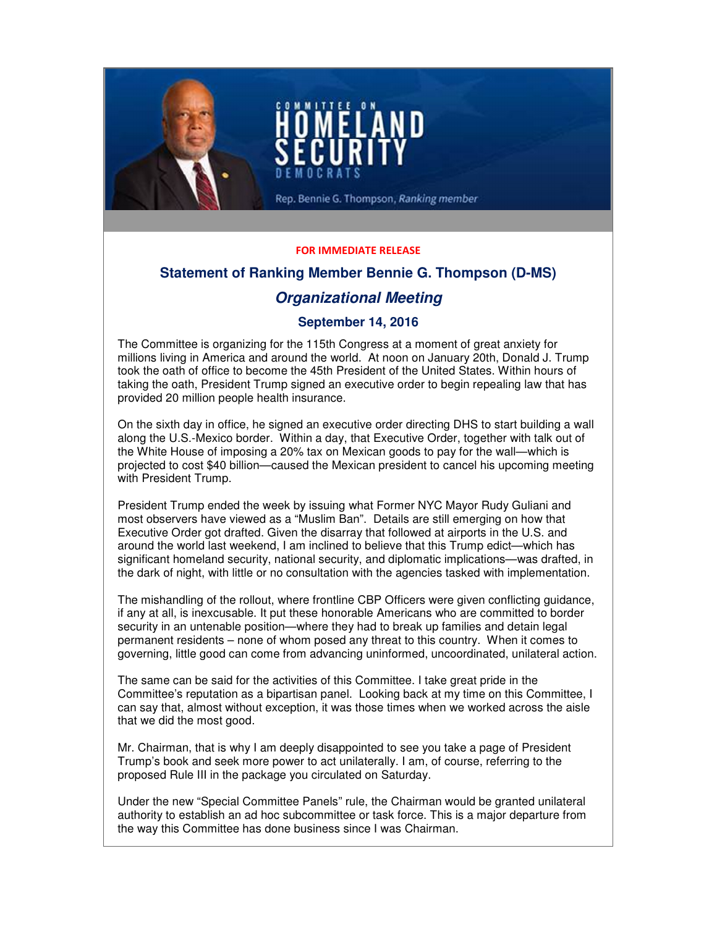

### FOR IMMEDIATE RELEASE

# **Statement of Ranking Member Bennie G. Thompson (D-MS)**

# **Organizational Meeting**

## **September 14, 2016**

The Committee is organizing for the 115th Congress at a moment of great anxiety for millions living in America and around the world. At noon on January 20th, Donald J. Trump took the oath of office to become the 45th President of the United States. Within hours of taking the oath, President Trump signed an executive order to begin repealing law that has provided 20 million people health insurance.

On the sixth day in office, he signed an executive order directing DHS to start building a wall along the U.S.-Mexico border. Within a day, that Executive Order, together with talk out of the White House of imposing a 20% tax on Mexican goods to pay for the wall—which is projected to cost \$40 billion—caused the Mexican president to cancel his upcoming meeting with President Trump.

President Trump ended the week by issuing what Former NYC Mayor Rudy Guliani and most observers have viewed as a "Muslim Ban". Details are still emerging on how that Executive Order got drafted. Given the disarray that followed at airports in the U.S. and around the world last weekend, I am inclined to believe that this Trump edict—which has significant homeland security, national security, and diplomatic implications—was drafted, in the dark of night, with little or no consultation with the agencies tasked with implementation.

The mishandling of the rollout, where frontline CBP Officers were given conflicting guidance, if any at all, is inexcusable. It put these honorable Americans who are committed to border security in an untenable position—where they had to break up families and detain legal permanent residents – none of whom posed any threat to this country. When it comes to governing, little good can come from advancing uninformed, uncoordinated, unilateral action.

The same can be said for the activities of this Committee. I take great pride in the Committee's reputation as a bipartisan panel. Looking back at my time on this Committee, I can say that, almost without exception, it was those times when we worked across the aisle that we did the most good.

Mr. Chairman, that is why I am deeply disappointed to see you take a page of President Trump's book and seek more power to act unilaterally. I am, of course, referring to the proposed Rule III in the package you circulated on Saturday.

Under the new "Special Committee Panels" rule, the Chairman would be granted unilateral authority to establish an ad hoc subcommittee or task force. This is a major departure from the way this Committee has done business since I was Chairman.